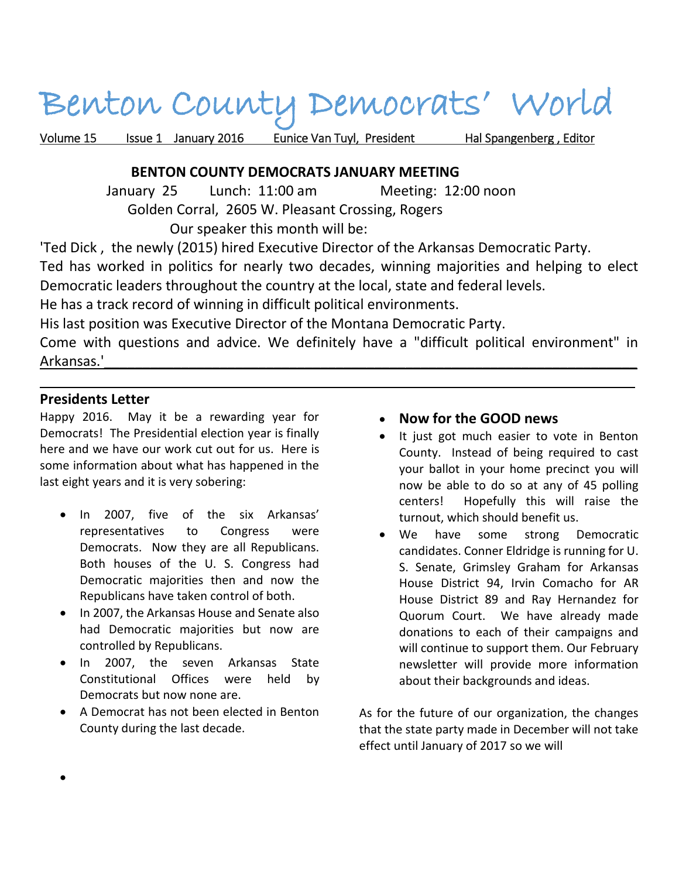# Benton County Democrats' World

Volume 15 Issue 1 January 2016 Eunice Van Tuyl, President Hal Spangenberg, Editor

#### **BENTON COUNTY DEMOCRATS JANUARY MEETING**

 January 25 Lunch: 11:00 am Meeting: 12:00 noon Golden Corral, 2605 W. Pleasant Crossing, Rogers Our speaker this month will be:

'Ted Dick , the newly (2015) hired Executive Director of the Arkansas Democratic Party.

Ted has worked in politics for nearly two decades, winning majorities and helping to elect Democratic leaders throughout the country at the local, state and federal levels.

He has a track record of winning in difficult political environments.

His last position was Executive Director of the Montana Democratic Party.

Come with questions and advice. We definitely have a "difficult political environment" in Arkansas.'\_\_\_\_\_\_\_\_\_\_\_\_\_\_\_\_\_\_\_\_\_\_\_\_\_\_\_\_\_\_\_\_\_\_\_\_\_\_\_\_\_\_\_\_\_\_\_\_\_\_\_\_\_\_\_\_\_\_\_\_\_\_\_\_\_\_\_\_\_

 $\mathcal{L}=\{1,2,3,4,5,6,6,7,10\}$ 

#### **Presidents Letter**

Happy 2016. May it be a rewarding year for Democrats! The Presidential election year is finally here and we have our work cut out for us. Here is some information about what has happened in the last eight years and it is very sobering:

- In 2007, five of the six Arkansas' representatives to Congress were Democrats. Now they are all Republicans. Both houses of the U. S. Congress had Democratic majorities then and now the Republicans have taken control of both.
- In 2007, the Arkansas House and Senate also had Democratic majorities but now are controlled by Republicans.
- In 2007, the seven Arkansas State Constitutional Offices were held by Democrats but now none are.
- A Democrat has not been elected in Benton County during the last decade.

#### **Now for the GOOD news**

- It just got much easier to vote in Benton County. Instead of being required to cast your ballot in your home precinct you will now be able to do so at any of 45 polling centers! Hopefully this will raise the turnout, which should benefit us.
- We have some strong Democratic candidates. Conner Eldridge is running for U. S. Senate, Grimsley Graham for Arkansas House District 94, Irvin Comacho for AR House District 89 and Ray Hernandez for Quorum Court. We have already made donations to each of their campaigns and will continue to support them. Our February newsletter will provide more information about their backgrounds and ideas.

As for the future of our organization, the changes that the state party made in December will not take effect until January of 2017 so we will

 $\bullet$